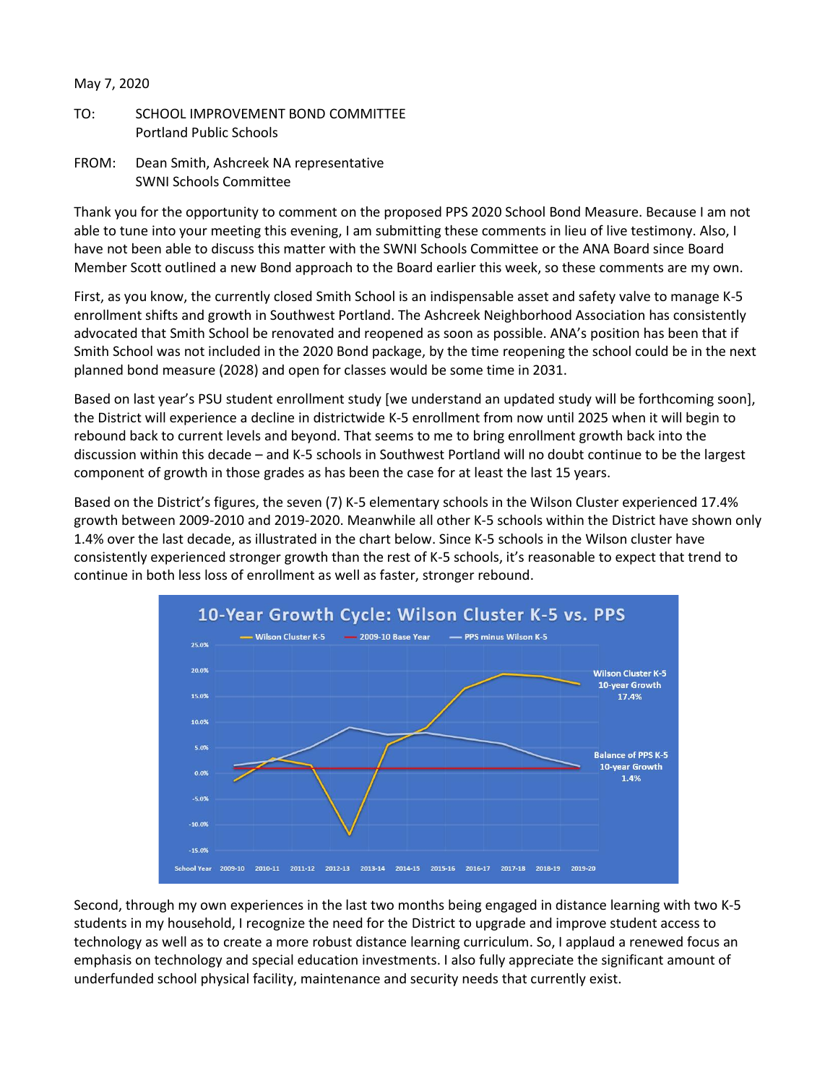## May 7, 2020

- TO: SCHOOL IMPROVEMENT BOND COMMITTEE Portland Public Schools
- FROM: Dean Smith, Ashcreek NA representative SWNI Schools Committee

Thank you for the opportunity to comment on the proposed PPS 2020 School Bond Measure. Because I am not able to tune into your meeting this evening, I am submitting these comments in lieu of live testimony. Also, I have not been able to discuss this matter with the SWNI Schools Committee or the ANA Board since Board Member Scott outlined a new Bond approach to the Board earlier this week, so these comments are my own.

First, as you know, the currently closed Smith School is an indispensable asset and safety valve to manage K-5 enrollment shifts and growth in Southwest Portland. The Ashcreek Neighborhood Association has consistently advocated that Smith School be renovated and reopened as soon as possible. ANA's position has been that if Smith School was not included in the 2020 Bond package, by the time reopening the school could be in the next planned bond measure (2028) and open for classes would be some time in 2031.

Based on last year's PSU student enrollment study [we understand an updated study will be forthcoming soon], the District will experience a decline in districtwide K-5 enrollment from now until 2025 when it will begin to rebound back to current levels and beyond. That seems to me to bring enrollment growth back into the discussion within this decade – and K-5 schools in Southwest Portland will no doubt continue to be the largest component of growth in those grades as has been the case for at least the last 15 years.

Based on the District's figures, the seven (7) K-5 elementary schools in the Wilson Cluster experienced 17.4% growth between 2009-2010 and 2019-2020. Meanwhile all other K-5 schools within the District have shown only 1.4% over the last decade, as illustrated in the chart below. Since K-5 schools in the Wilson cluster have consistently experienced stronger growth than the rest of K-5 schools, it's reasonable to expect that trend to continue in both less loss of enrollment as well as faster, stronger rebound.



Second, through my own experiences in the last two months being engaged in distance learning with two K-5 students in my household, I recognize the need for the District to upgrade and improve student access to technology as well as to create a more robust distance learning curriculum. So, I applaud a renewed focus an emphasis on technology and special education investments. I also fully appreciate the significant amount of underfunded school physical facility, maintenance and security needs that currently exist.